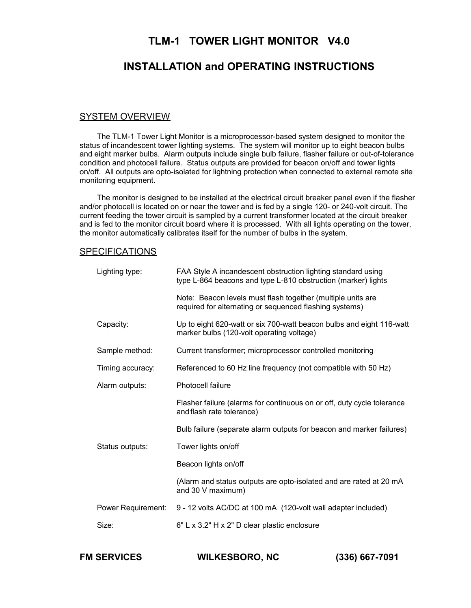# **TLM-1 TOWER LIGHT MONITOR V4.0**

# **INSTALLATION and OPERATING INSTRUCTIONS**

## SYSTEM OVERVIEW

The TLM-1 Tower Light Monitor is a microprocessor-based system designed to monitor the status of incandescent tower lighting systems. The system will monitor up to eight beacon bulbs and eight marker bulbs. Alarm outputs include single bulb failure, flasher failure or out-of-tolerance condition and photocell failure. Status outputs are provided for beacon on/off and tower lights on/off. All outputs are opto-isolated for lightning protection when connected to external remote site monitoring equipment.

The monitor is designed to be installed at the electrical circuit breaker panel even if the flasher and/or photocell is located on or near the tower and is fed by a single 120- or 240-volt circuit. The current feeding the tower circuit is sampled by a current transformer located at the circuit breaker and is fed to the monitor circuit board where it is processed. With all lights operating on the tower, the monitor automatically calibrates itself for the number of bulbs in the system.

#### **SPECIFICATIONS**

| Lighting type:     | FAA Style A incandescent obstruction lighting standard using<br>type L-864 beacons and type L-810 obstruction (marker) lights |  |  |  |  |
|--------------------|-------------------------------------------------------------------------------------------------------------------------------|--|--|--|--|
|                    | Note: Beacon levels must flash together (multiple units are<br>required for alternating or sequenced flashing systems)        |  |  |  |  |
| Capacity:          | Up to eight 620-watt or six 700-watt beacon bulbs and eight 116-watt<br>marker bulbs (120-volt operating voltage)             |  |  |  |  |
| Sample method:     | Current transformer; microprocessor controlled monitoring                                                                     |  |  |  |  |
| Timing accuracy:   | Referenced to 60 Hz line frequency (not compatible with 50 Hz)                                                                |  |  |  |  |
| Alarm outputs:     | <b>Photocell failure</b>                                                                                                      |  |  |  |  |
|                    | Flasher failure (alarms for continuous on or off, duty cycle tolerance<br>and flash rate tolerance)                           |  |  |  |  |
|                    | Bulb failure (separate alarm outputs for beacon and marker failures)                                                          |  |  |  |  |
| Status outputs:    | Tower lights on/off                                                                                                           |  |  |  |  |
|                    | Beacon lights on/off                                                                                                          |  |  |  |  |
|                    | (Alarm and status outputs are opto-isolated and are rated at 20 mA<br>and 30 V maximum)                                       |  |  |  |  |
| Power Requirement: | 9 - 12 volts AC/DC at 100 mA (120-volt wall adapter included)                                                                 |  |  |  |  |
| Size:              | 6" L x 3.2" H x 2" D clear plastic enclosure                                                                                  |  |  |  |  |

**FM SERVICES WILKESBORO, NC (336) 667-7091**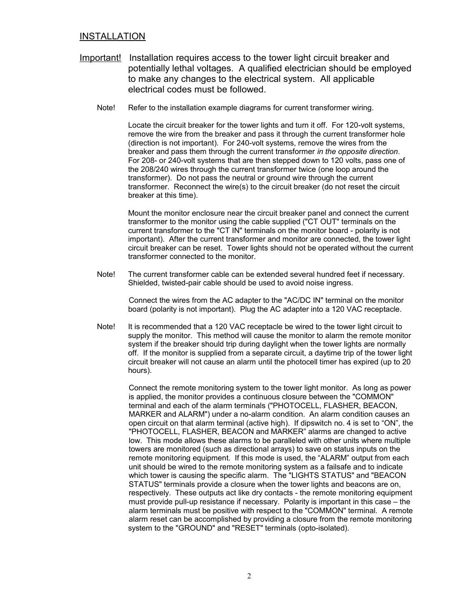## INSTALLATION

- Important! Installation requires access to the tower light circuit breaker and potentially lethal voltages. A qualified electrician should be employed to make any changes to the electrical system. All applicable electrical codes must be followed.
	- Note! Refer to the installation example diagrams for current transformer wiring.

Locate the circuit breaker for the tower lights and turn it off. For 120-volt systems, remove the wire from the breaker and pass it through the current transformer hole (direction is not important). For 240-volt systems, remove the wires from the breaker and pass them through the current transformer *in the opposite direction*. For 208- or 240-volt systems that are then stepped down to 120 volts, pass one of the 208/240 wires through the current transformer twice (one loop around the transformer). Do not pass the neutral or ground wire through the current transformer. Reconnect the wire(s) to the circuit breaker (do not reset the circuit breaker at this time).

Mount the monitor enclosure near the circuit breaker panel and connect the current transformer to the monitor using the cable supplied ("CT OUT" terminals on the current transformer to the "CT IN" terminals on the monitor board - polarity is not important). After the current transformer and monitor are connected, the tower light circuit breaker can be reset. Tower lights should not be operated without the current transformer connected to the monitor.

Note! The current transformer cable can be extended several hundred feet if necessary. Shielded, twisted-pair cable should be used to avoid noise ingress.

> Connect the wires from the AC adapter to the "AC/DC IN" terminal on the monitor board (polarity is not important). Plug the AC adapter into a 120 VAC receptacle.

Note! It is recommended that a 120 VAC receptacle be wired to the tower light circuit to supply the monitor. This method will cause the monitor to alarm the remote monitor system if the breaker should trip during daylight when the tower lights are normally off. If the monitor is supplied from a separate circuit, a daytime trip of the tower light circuit breaker will not cause an alarm until the photocell timer has expired (up to 20 hours).

Connect the remote monitoring system to the tower light monitor. As long as power is applied, the monitor provides a continuous closure between the "COMMON" terminal and each of the alarm terminals ("PHOTOCELL, FLASHER, BEACON, MARKER and ALARM") under a no-alarm condition. An alarm condition causes an open circuit on that alarm terminal (active high). If dipswitch no. 4 is set to "ON", the "PHOTOCELL, FLASHER, BEACON and MARKER" alarms are changed to active low. This mode allows these alarms to be paralleled with other units where multiple towers are monitored (such as directional arrays) to save on status inputs on the remote monitoring equipment. If this mode is used, the "ALARM" output from each unit should be wired to the remote monitoring system as a failsafe and to indicate which tower is causing the specific alarm. The "LIGHTS STATUS" and "BEACON STATUS" terminals provide a closure when the tower lights and beacons are on, respectively. These outputs act like dry contacts - the remote monitoring equipment must provide pull-up resistance if necessary. Polarity is important in this case – the alarm terminals must be positive with respect to the "COMMON" terminal. A remote alarm reset can be accomplished by providing a closure from the remote monitoring system to the "GROUND" and "RESET" terminals (opto-isolated).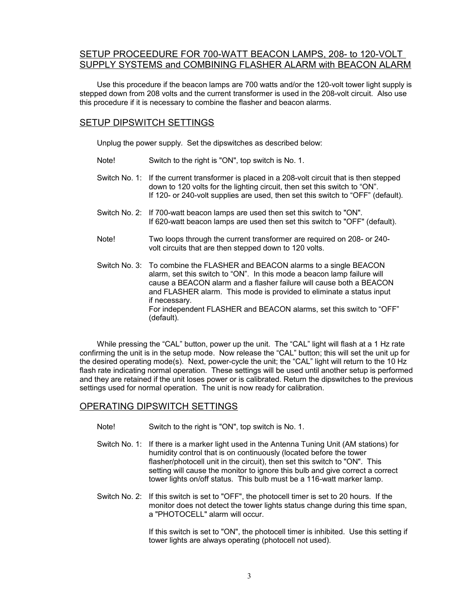# SETUP PROCEEDURE FOR 700-WATT BEACON LAMPS, 208- to 120-VOLT SUPPLY SYSTEMS and COMBINING FLASHER ALARM with BEACON ALARM

Use this procedure if the beacon lamps are 700 watts and/or the 120-volt tower light supply is stepped down from 208 volts and the current transformer is used in the 208-volt circuit. Also use this procedure if it is necessary to combine the flasher and beacon alarms.

# SETUP DIPSWITCH SETTINGS

Unplug the power supply. Set the dipswitches as described below:

- Note! Switch to the right is "ON", top switch is No. 1.
- Switch No. 1: If the current transformer is placed in a 208-volt circuit that is then stepped down to 120 volts for the lighting circuit, then set this switch to "ON". If 120- or 240-volt supplies are used, then set this switch to "OFF" (default).
- Switch No. 2: If 700-watt beacon lamps are used then set this switch to "ON". If 620-watt beacon lamps are used then set this switch to "OFF" (default).
- Note! Two loops through the current transformer are required on 208- or 240 volt circuits that are then stepped down to 120 volts.
- Switch No. 3: To combine the FLASHER and BEACON alarms to a single BEACON alarm, set this switch to "ON". In this mode a beacon lamp failure will cause a BEACON alarm and a flasher failure will cause both a BEACON and FLASHER alarm. This mode is provided to eliminate a status input if necessary. For independent FLASHER and BEACON alarms, set this switch to "OFF" (default).

While pressing the "CAL" button, power up the unit. The "CAL" light will flash at a 1 Hz rate confirming the unit is in the setup mode. Now release the "CAL" button; this will set the unit up for the desired operating mode(s). Next, power-cycle the unit; the "CAL" light will return to the 10 Hz flash rate indicating normal operation. These settings will be used until another setup is performed and they are retained if the unit loses power or is calibrated. Return the dipswitches to the previous settings used for normal operation. The unit is now ready for calibration.

#### OPERATING DIPSWITCH SETTINGS

- Note! Switch to the right is "ON", top switch is No. 1.
- Switch No. 1: If there is a marker light used in the Antenna Tuning Unit (AM stations) for humidity control that is on continuously (located before the tower flasher/photocell unit in the circuit), then set this switch to "ON". This setting will cause the monitor to ignore this bulb and give correct a correct tower lights on/off status. This bulb must be a 116-watt marker lamp.
- Switch No. 2: If this switch is set to "OFF", the photocell timer is set to 20 hours. If the monitor does not detect the tower lights status change during this time span, a "PHOTOCELL" alarm will occur.

If this switch is set to "ON", the photocell timer is inhibited. Use this setting if tower lights are always operating (photocell not used).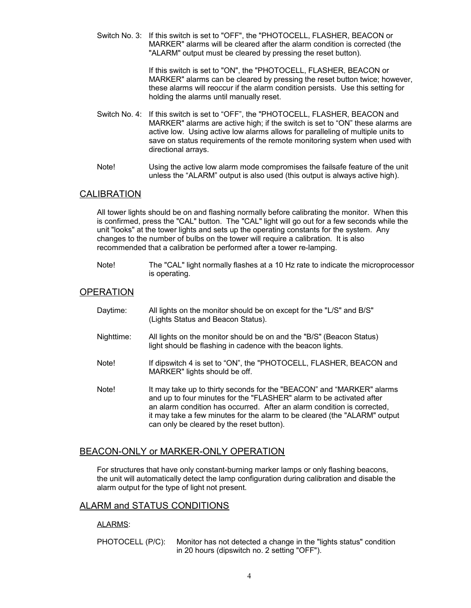Switch No. 3: If this switch is set to "OFF", the "PHOTOCELL, FLASHER, BEACON or MARKER" alarms will be cleared after the alarm condition is corrected (the "ALARM" output must be cleared by pressing the reset button).

> If this switch is set to "ON", the "PHOTOCELL, FLASHER, BEACON or MARKER" alarms can be cleared by pressing the reset button twice; however, these alarms will reoccur if the alarm condition persists. Use this setting for holding the alarms until manually reset.

- Switch No. 4: If this switch is set to "OFF", the "PHOTOCELL, FLASHER, BEACON and MARKER" alarms are active high; if the switch is set to "ON" these alarms are active low. Using active low alarms allows for paralleling of multiple units to save on status requirements of the remote monitoring system when used with directional arrays.
- Note! Using the active low alarm mode compromises the failsafe feature of the unit unless the "ALARM" output is also used (this output is always active high).

## **CALIBRATION**

All tower lights should be on and flashing normally before calibrating the monitor. When this is confirmed, press the "CAL" button. The "CAL" light will go out for a few seconds while the unit "looks" at the tower lights and sets up the operating constants for the system. Any changes to the number of bulbs on the tower will require a calibration. It is also recommended that a calibration be performed after a tower re-lamping.

Note! The "CAL" light normally flashes at a 10 Hz rate to indicate the microprocessor is operating.

## **OPERATION**

- Daytime: All lights on the monitor should be on except for the "L/S" and B/S" (Lights Status and Beacon Status).
- Nighttime: All lights on the monitor should be on and the "B/S" (Beacon Status) light should be flashing in cadence with the beacon lights.
- Note! If dipswitch 4 is set to "ON", the "PHOTOCELL, FLASHER, BEACON and MARKER" lights should be off.
- Note! It may take up to thirty seconds for the "BEACON" and "MARKER" alarms and up to four minutes for the "FLASHER" alarm to be activated after an alarm condition has occurred. After an alarm condition is corrected, it may take a few minutes for the alarm to be cleared (the "ALARM" output can only be cleared by the reset button).

# BEACON-ONLY or MARKER-ONLY OPERATION

For structures that have only constant-burning marker lamps or only flashing beacons, the unit will automatically detect the lamp configuration during calibration and disable the alarm output for the type of light not present.

#### ALARM and STATUS CONDITIONS

#### ALARMS:

PHOTOCELL (P/C): Monitor has not detected a change in the "lights status" condition in 20 hours (dipswitch no. 2 setting "OFF").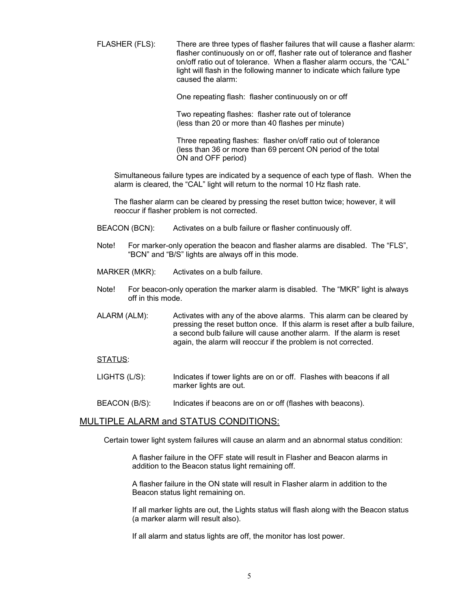FLASHER (FLS): There are three types of flasher failures that will cause a flasher alarm: flasher continuously on or off, flasher rate out of tolerance and flasher on/off ratio out of tolerance. When a flasher alarm occurs, the "CAL" light will flash in the following manner to indicate which failure type caused the alarm:

One repeating flash: flasher continuously on or off

Two repeating flashes: flasher rate out of tolerance (less than 20 or more than 40 flashes per minute)

Three repeating flashes: flasher on/off ratio out of tolerance (less than 36 or more than 69 percent ON period of the total ON and OFF period)

Simultaneous failure types are indicated by a sequence of each type of flash. When the alarm is cleared, the "CAL" light will return to the normal 10 Hz flash rate.

The flasher alarm can be cleared by pressing the reset button twice; however, it will reoccur if flasher problem is not corrected.

- BEACON (BCN): Activates on a bulb failure or flasher continuously off.
- Note! For marker-only operation the beacon and flasher alarms are disabled. The "FLS", "BCN" and "B/S" lights are always off in this mode.
- MARKER (MKR): Activates on a bulb failure.
- Note! For beacon-only operation the marker alarm is disabled. The "MKR" light is always off in this mode.
- ALARM (ALM): Activates with any of the above alarms. This alarm can be cleared by pressing the reset button once. If this alarm is reset after a bulb failure, a second bulb failure will cause another alarm. If the alarm is reset again, the alarm will reoccur if the problem is not corrected.

#### STATUS:

- LIGHTS (L/S): Indicates if tower lights are on or off. Flashes with beacons if all marker lights are out.
- BEACON (B/S): Indicates if beacons are on or off (flashes with beacons).

#### MULTIPLE ALARM and STATUS CONDITIONS:

Certain tower light system failures will cause an alarm and an abnormal status condition:

A flasher failure in the OFF state will result in Flasher and Beacon alarms in addition to the Beacon status light remaining off.

A flasher failure in the ON state will result in Flasher alarm in addition to the Beacon status light remaining on.

If all marker lights are out, the Lights status will flash along with the Beacon status (a marker alarm will result also).

If all alarm and status lights are off, the monitor has lost power.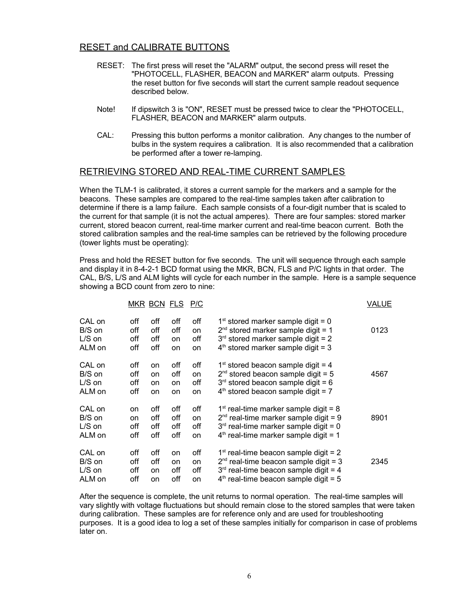# RESET and CALIBRATE BUTTONS

- RESET: The first press will reset the "ALARM" output, the second press will reset the "PHOTOCELL, FLASHER, BEACON and MARKER" alarm outputs. Pressing the reset button for five seconds will start the current sample readout sequence described below.
- Note! If dipswitch 3 is "ON", RESET must be pressed twice to clear the "PHOTOCELL, FLASHER, BEACON and MARKER" alarm outputs.
- CAL: Pressing this button performs a monitor calibration. Any changes to the number of bulbs in the system requires a calibration. It is also recommended that a calibration be performed after a tower re-lamping.

# RETRIEVING STORED AND REAL-TIME CURRENT SAMPLES

When the TLM-1 is calibrated, it stores a current sample for the markers and a sample for the beacons. These samples are compared to the real-time samples taken after calibration to determine if there is a lamp failure. Each sample consists of a four-digit number that is scaled to the current for that sample (it is not the actual amperes). There are four samples: stored marker current, stored beacon current, real-time marker current and real-time beacon current. Both the stored calibration samples and the real-time samples can be retrieved by the following procedure (tower lights must be operating):

Press and hold the RESET button for five seconds. The unit will sequence through each sample and display it in 8-4-2-1 BCD format using the MKR, BCN, FLS and P/C lights in that order. The CAL, B/S, L/S and ALM lights will cycle for each number in the sample. Here is a sample sequence showing a BCD count from zero to nine:

|          |     | <u>MKR BCN FLS P/C</u> |           |           |                                         | <b>VALUE</b> |
|----------|-----|------------------------|-----------|-----------|-----------------------------------------|--------------|
| CAL on   | off | off                    | off       | off       | $1st$ stored marker sample digit = 0    | 0123         |
| B/S on   | off | off                    | off       | on        | $2^{nd}$ stored marker sample digit = 1 |              |
| $L/S$ on | off | off                    | <b>on</b> | off       | $3rd$ stored marker sample digit = 2    |              |
| ALM on   | off | off                    | on        | on        | $4th$ stored marker sample digit = 3    |              |
| CAL on   | off | on                     | off       | off       | $1st$ stored beacon sample digit = 4    | 4567         |
| B/S on   | off | <b>on</b>              | off       | <b>on</b> | $2nd$ stored beacon sample digit = 5    |              |
| $L/S$ on | off | on                     | on        | off       | $3rd$ stored beacon sample digit = 6    |              |
| ALM on   | off | on                     | on        | on        | $4th$ stored beacon sample digit = 7    |              |
| CAL on   | on  | off                    | off       | off       | $1st$ real-time marker sample digit = 8 | 8901         |
| B/S on   | on  | off                    | off       | <b>on</b> | $2nd$ real-time marker sample digit = 9 |              |
| $L/S$ on | off | off                    | off       | off       | $3rd$ real-time marker sample digit = 0 |              |
| ALM on   | off | off                    | off       | on        | $4th$ real-time marker sample digit = 1 |              |
| CAL on   | off | off                    | on        | off       | $1st$ real-time beacon sample digit = 2 | 2345         |
| B/S on   | off | off                    | on        | on        | $2nd$ real-time beacon sample digit = 3 |              |
| $L/S$ on | off | <b>on</b>              | off       | off       | $3rd$ real-time beacon sample digit = 4 |              |
| ALM on   | off | on                     | off       | on        | $4th$ real-time beacon sample digit = 5 |              |

After the sequence is complete, the unit returns to normal operation. The real-time samples will vary slightly with voltage fluctuations but should remain close to the stored samples that were taken during calibration. These samples are for reference only and are used for troubleshooting purposes. It is a good idea to log a set of these samples initially for comparison in case of problems later on.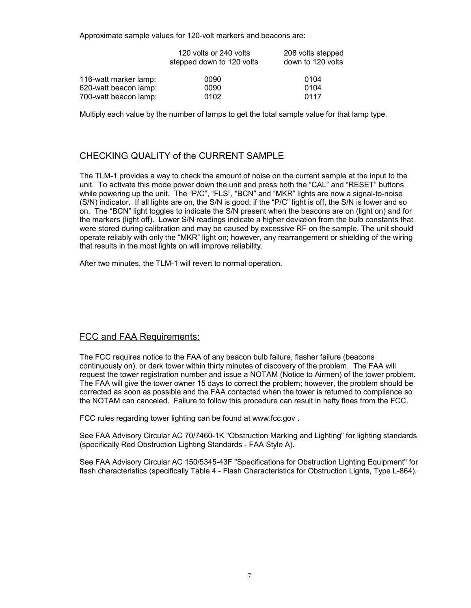Approximate sample values for 120-volt markers and beacons are:

|                       | 120 volts or 240 volts<br>stepped down to 120 volts | 208 volts stepped<br>down to 120 volts |
|-----------------------|-----------------------------------------------------|----------------------------------------|
| 116-watt marker lamp: | 0090                                                | 0104                                   |
| 620-watt beacon lamp: | 0090                                                | 0104                                   |
| 700-watt beacon lamp: | 0102                                                | 0117                                   |

Multiply each value by the number of lamps to get the total sample value for that lamp type.

# CHECKING QUALITY of the CURRENT SAMPLE

The TLM-1 provides a way to check the amount of noise on the current sample at the input to the unit. To activate this mode power down the unit and press both the "CAL" and "RESET" buttons while powering up the unit. The "P/C", "FLS", "BCN" and "MKR" lights are now a signal-to-noise (S/N) indicator. If all lights are on, the S/N is good; if the "P/C" light is off, the S/N is lower and so on. The "BCN" light toggles to indicate the S/N present when the beacons are on (light on) and for the markers (light off). Lower S/N readings indicate a higher deviation from the bulb constants that were stored during calibration and may be caused by excessive RF on the sample. The unit should operate reliably with only the "MKR" light on; however, any rearrangement or shielding of the wiring that results in the most lights on will improve reliability.

After two minutes, the TLM-1 will revert to normal operation.

# FCC and FAA Requirements:

The FCC requires notice to the FAA of any beacon bulb failure, flasher failure (beacons continuously on), or dark tower within thirty minutes of discovery of the problem. The FAA will request the tower registration number and issue a NOTAM (Notice to Airmen) of the tower problem. The FAA will give the tower owner 15 days to correct the problem; however, the problem should be corrected as soon as possible and the FAA contacted when the tower is returned to compliance so the NOTAM can canceled. Failure to follow this procedure can result in hefty fines from the FCC.

FCC rules regarding tower lighting can be found at www.fcc.gov .

See FAA Advisory Circular AC 70/7460-1K "Obstruction Marking and Lighting" for lighting standards (specifically Red Obstruction Lighting Standards - FAA Style A).

See FAA Advisory Circular AC 150/5345-43F "Specifications for Obstruction Lighting Equipment" for flash characteristics (specifically Table 4 - Flash Characteristics for Obstruction Lights, Type L-864).